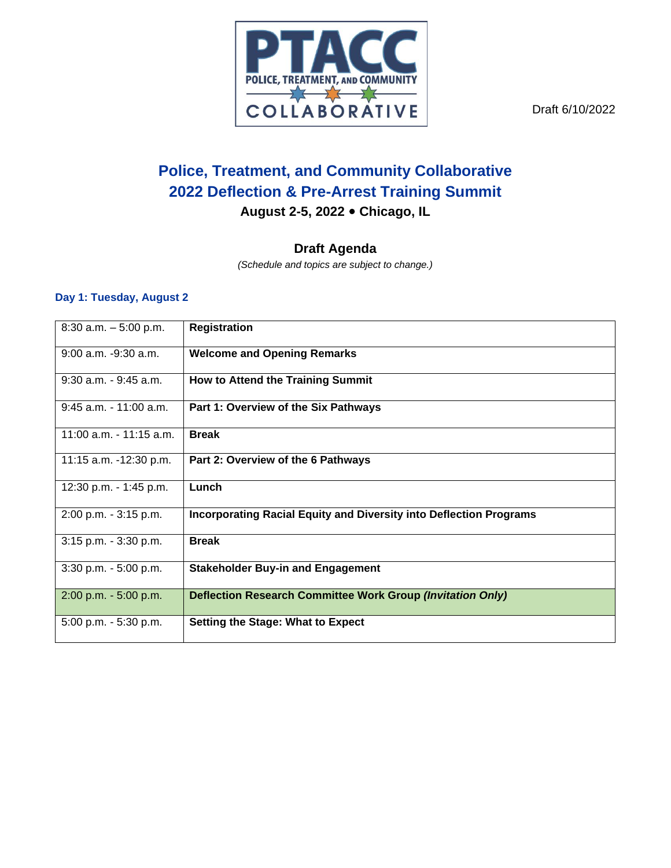

Draft 6/10/2022

# **Police, Treatment, and Community Collaborative 2022 Deflection & Pre-Arrest Training Summit**

**August 2-5, 2022 Chicago, IL**

## **Draft Agenda**

*(Schedule and topics are subject to change.)*

#### **Day 1: Tuesday, August 2**

| $8:30$ a.m. $-5:00$ p.m.  | <b>Registration</b>                                                       |
|---------------------------|---------------------------------------------------------------------------|
| $9:00$ a.m. $-9:30$ a.m.  | <b>Welcome and Opening Remarks</b>                                        |
| $9:30$ a.m. $-9:45$ a.m.  | How to Attend the Training Summit                                         |
| $9:45$ a.m. $-11:00$ a.m. | Part 1: Overview of the Six Pathways                                      |
| 11:00 a.m. - 11:15 a.m.   | <b>Break</b>                                                              |
| 11:15 a.m. -12:30 p.m.    | Part 2: Overview of the 6 Pathways                                        |
| 12:30 p.m. - 1:45 p.m.    | Lunch                                                                     |
| 2:00 p.m. - 3:15 p.m.     | <b>Incorporating Racial Equity and Diversity into Deflection Programs</b> |
| $3:15$ p.m. $-3:30$ p.m.  | <b>Break</b>                                                              |
| 3:30 p.m. - 5:00 p.m.     | <b>Stakeholder Buy-in and Engagement</b>                                  |
| 2:00 p.m. - 5:00 p.m.     | Deflection Research Committee Work Group (Invitation Only)                |
| 5:00 p.m. - 5:30 p.m.     | <b>Setting the Stage: What to Expect</b>                                  |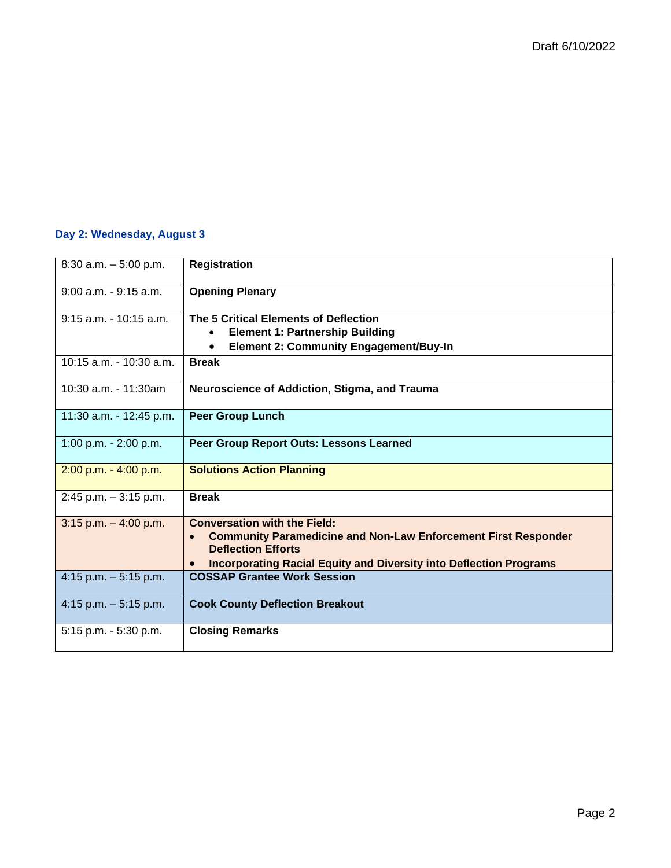#### **Day 2: Wednesday, August 3**

| $8:30$ a.m. $-5:00$ p.m.  | <b>Registration</b>                                                                                                       |
|---------------------------|---------------------------------------------------------------------------------------------------------------------------|
| $9:00$ a.m. $-9:15$ a.m.  | <b>Opening Plenary</b>                                                                                                    |
| $9:15$ a.m. $-10:15$ a.m. | The 5 Critical Elements of Deflection<br><b>Element 1: Partnership Building</b>                                           |
|                           | <b>Element 2: Community Engagement/Buy-In</b><br>$\bullet$                                                                |
| 10:15 a.m. - 10:30 a.m.   | <b>Break</b>                                                                                                              |
| $10:30$ a.m. $-11:30$ am  | Neuroscience of Addiction, Stigma, and Trauma                                                                             |
| 11:30 a.m. - 12:45 p.m.   | <b>Peer Group Lunch</b>                                                                                                   |
| 1:00 p.m. - 2:00 p.m.     | Peer Group Report Outs: Lessons Learned                                                                                   |
| $2:00$ p.m. $-4:00$ p.m.  | <b>Solutions Action Planning</b>                                                                                          |
| $2:45$ p.m. $-3:15$ p.m.  | <b>Break</b>                                                                                                              |
| $3:15$ p.m. $-4:00$ p.m.  | <b>Conversation with the Field:</b><br><b>Community Paramedicine and Non-Law Enforcement First Responder</b><br>$\bullet$ |
|                           | <b>Deflection Efforts</b>                                                                                                 |
|                           | <b>Incorporating Racial Equity and Diversity into Deflection Programs</b><br>$\bullet$                                    |
| 4:15 p.m. $-5:15$ p.m.    | <b>COSSAP Grantee Work Session</b>                                                                                        |
| 4:15 p.m. $-5:15$ p.m.    | <b>Cook County Deflection Breakout</b>                                                                                    |
| 5:15 p.m. - 5:30 p.m.     | <b>Closing Remarks</b>                                                                                                    |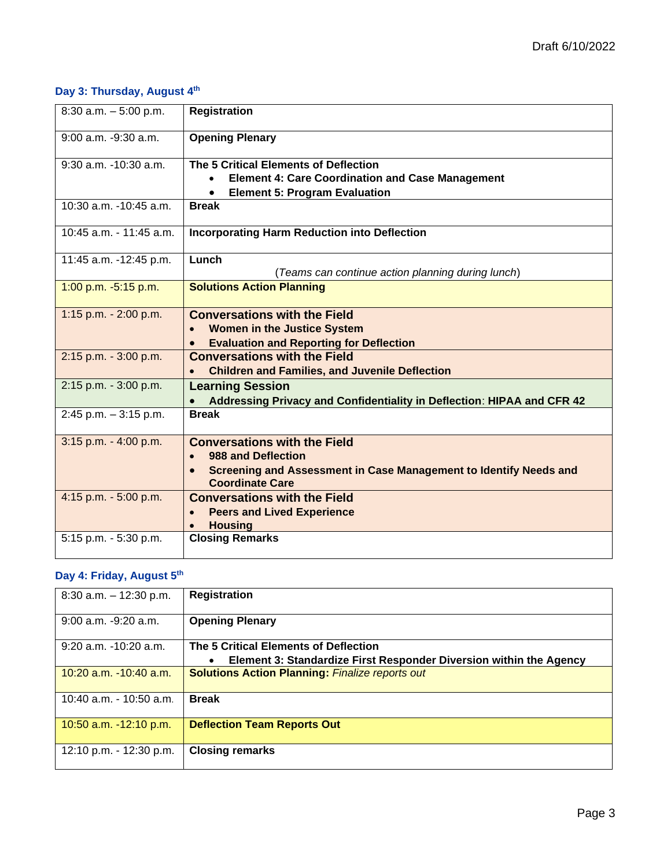## **Day 3: Thursday, August 4th**

| 8:30 a.m. $-5:00$ p.m.    | <b>Registration</b>                                                                                                                                                                |
|---------------------------|------------------------------------------------------------------------------------------------------------------------------------------------------------------------------------|
| $9:00$ a.m. $-9:30$ a.m.  | <b>Opening Plenary</b>                                                                                                                                                             |
| $9:30$ a.m. $-10:30$ a.m. | The 5 Critical Elements of Deflection<br><b>Element 4: Care Coordination and Case Management</b><br><b>Element 5: Program Evaluation</b>                                           |
| 10:30 a.m. -10:45 a.m.    | <b>Break</b>                                                                                                                                                                       |
| 10:45 a.m. - 11:45 a.m.   | <b>Incorporating Harm Reduction into Deflection</b>                                                                                                                                |
| 11:45 a.m. -12:45 p.m.    | Lunch<br>(Teams can continue action planning during lunch)                                                                                                                         |
| 1:00 p.m. -5:15 p.m.      | <b>Solutions Action Planning</b>                                                                                                                                                   |
| 1:15 p.m. - 2:00 p.m.     | <b>Conversations with the Field</b><br><b>Women in the Justice System</b><br><b>Evaluation and Reporting for Deflection</b><br>$\bullet$                                           |
| 2:15 p.m. - 3:00 p.m.     | <b>Conversations with the Field</b><br><b>Children and Families, and Juvenile Deflection</b>                                                                                       |
| 2:15 p.m. - 3:00 p.m.     | <b>Learning Session</b><br>Addressing Privacy and Confidentiality in Deflection: HIPAA and CFR 42                                                                                  |
| $2:45$ p.m. $-3:15$ p.m.  | <b>Break</b>                                                                                                                                                                       |
| $3:15$ p.m. $-4:00$ p.m.  | <b>Conversations with the Field</b><br>988 and Deflection<br>$\bullet$<br>Screening and Assessment in Case Management to Identify Needs and<br>$\bullet$<br><b>Coordinate Care</b> |
| 4:15 p.m. - 5:00 p.m.     | <b>Conversations with the Field</b><br><b>Peers and Lived Experience</b><br>$\bullet$<br><b>Housing</b>                                                                            |
| 5:15 p.m. - 5:30 p.m.     | <b>Closing Remarks</b>                                                                                                                                                             |

# **Day 4: Friday, August 5th**

| $8:30$ a.m. $-12:30$ p.m.  | <b>Registration</b>                                                       |
|----------------------------|---------------------------------------------------------------------------|
|                            |                                                                           |
| $9:00$ a.m. $-9:20$ a.m.   | <b>Opening Plenary</b>                                                    |
|                            |                                                                           |
|                            |                                                                           |
| $9:20$ a.m. $-10:20$ a.m.  | The 5 Critical Elements of Deflection                                     |
|                            |                                                                           |
|                            | <b>Element 3: Standardize First Responder Diversion within the Agency</b> |
| $10:20$ a.m. $-10:40$ a.m. | <b>Solutions Action Planning: Finalize reports out</b>                    |
|                            |                                                                           |
|                            |                                                                           |
| 10:40 a.m. - 10:50 a.m.    | <b>Break</b>                                                              |
|                            |                                                                           |
|                            |                                                                           |
| 10:50 a.m. $-12:10$ p.m.   | <b>Deflection Team Reports Out</b>                                        |
|                            |                                                                           |
|                            |                                                                           |
| 12:10 p.m. - 12:30 p.m.    | <b>Closing remarks</b>                                                    |
|                            |                                                                           |
|                            |                                                                           |